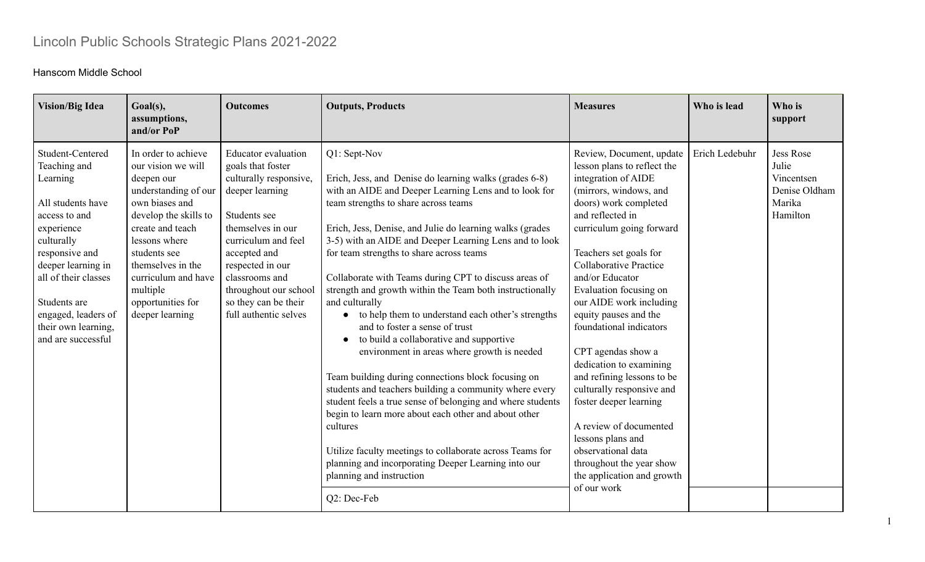## Lincoln Public Schools Strategic Plans 2021-2022

## Hanscom Middle School

| <b>Vision/Big Idea</b>                                                                                                                                                                                                                                             | Goal(s),<br>assumptions,<br>and/or PoP                                                                                                                                                                                                                                          | <b>Outcomes</b>                                                                                                                                                                                                                                                                          | <b>Outputs, Products</b>                                                                                                                                                                                                                                                                                                                                                                                                                                                                                                                                                                                                                                                                                                                                                                                                                                                                                                                                                                                                                                                            | <b>Measures</b>                                                                                                                                                                                                                                                                                                                                                                                                                                                                                                                                                                                                                                              | Who is lead    | Who is<br>support                                                              |
|--------------------------------------------------------------------------------------------------------------------------------------------------------------------------------------------------------------------------------------------------------------------|---------------------------------------------------------------------------------------------------------------------------------------------------------------------------------------------------------------------------------------------------------------------------------|------------------------------------------------------------------------------------------------------------------------------------------------------------------------------------------------------------------------------------------------------------------------------------------|-------------------------------------------------------------------------------------------------------------------------------------------------------------------------------------------------------------------------------------------------------------------------------------------------------------------------------------------------------------------------------------------------------------------------------------------------------------------------------------------------------------------------------------------------------------------------------------------------------------------------------------------------------------------------------------------------------------------------------------------------------------------------------------------------------------------------------------------------------------------------------------------------------------------------------------------------------------------------------------------------------------------------------------------------------------------------------------|--------------------------------------------------------------------------------------------------------------------------------------------------------------------------------------------------------------------------------------------------------------------------------------------------------------------------------------------------------------------------------------------------------------------------------------------------------------------------------------------------------------------------------------------------------------------------------------------------------------------------------------------------------------|----------------|--------------------------------------------------------------------------------|
| Student-Centered<br>Teaching and<br>Learning<br>All students have<br>access to and<br>experience<br>culturally<br>responsive and<br>deeper learning in<br>all of their classes<br>Students are<br>engaged, leaders of<br>their own learning,<br>and are successful | In order to achieve<br>our vision we will<br>deepen our<br>understanding of our<br>own biases and<br>develop the skills to<br>create and teach<br>lessons where<br>students see<br>themselves in the<br>curriculum and have<br>multiple<br>opportunities for<br>deeper learning | <b>Educator</b> evaluation<br>goals that foster<br>culturally responsive,<br>deeper learning<br>Students see<br>themselves in our<br>curriculum and feel<br>accepted and<br>respected in our<br>classrooms and<br>throughout our school<br>so they can be their<br>full authentic selves | Q1: Sept-Nov<br>Erich, Jess, and Denise do learning walks (grades 6-8)<br>with an AIDE and Deeper Learning Lens and to look for<br>team strengths to share across teams<br>Erich, Jess, Denise, and Julie do learning walks (grades<br>3-5) with an AIDE and Deeper Learning Lens and to look<br>for team strengths to share across teams<br>Collaborate with Teams during CPT to discuss areas of<br>strength and growth within the Team both instructionally<br>and culturally<br>• to help them to understand each other's strengths<br>and to foster a sense of trust<br>to build a collaborative and supportive<br>environment in areas where growth is needed<br>Team building during connections block focusing on<br>students and teachers building a community where every<br>student feels a true sense of belonging and where students<br>begin to learn more about each other and about other<br>cultures<br>Utilize faculty meetings to collaborate across Teams for<br>planning and incorporating Deeper Learning into our<br>planning and instruction<br>Q2: Dec-Feb | Review, Document, update<br>lesson plans to reflect the<br>integration of AIDE<br>(mirrors, windows, and<br>doors) work completed<br>and reflected in<br>curriculum going forward<br>Teachers set goals for<br><b>Collaborative Practice</b><br>and/or Educator<br>Evaluation focusing on<br>our AIDE work including<br>equity pauses and the<br>foundational indicators<br>CPT agendas show a<br>dedication to examining<br>and refining lessons to be<br>culturally responsive and<br>foster deeper learning<br>A review of documented<br>lessons plans and<br>observational data<br>throughout the year show<br>the application and growth<br>of our work | Erich Ledebuhr | <b>Jess Rose</b><br>Julie<br>Vincentsen<br>Denise Oldham<br>Marika<br>Hamilton |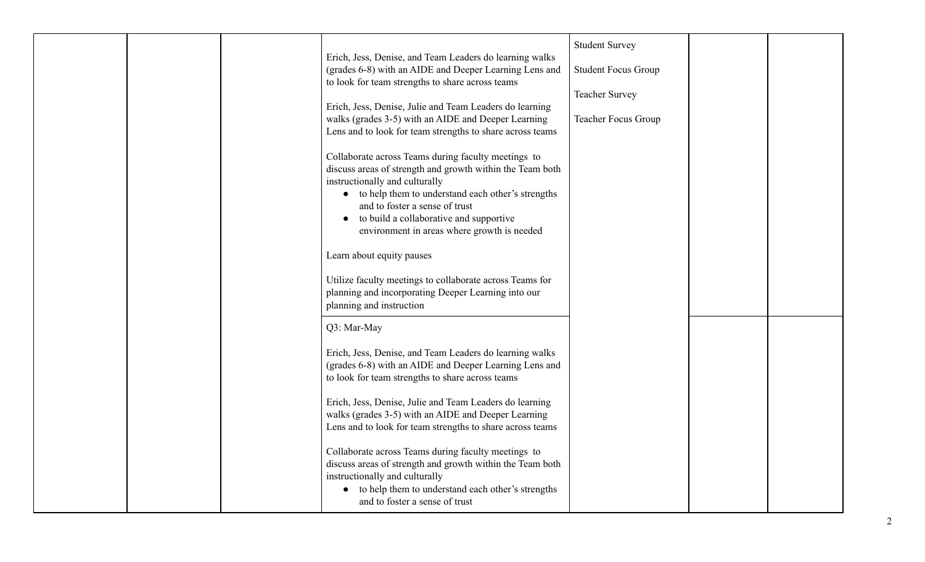|                                                           | <b>Student Survey</b>      |  |
|-----------------------------------------------------------|----------------------------|--|
| Erich, Jess, Denise, and Team Leaders do learning walks   |                            |  |
| (grades 6-8) with an AIDE and Deeper Learning Lens and    | <b>Student Focus Group</b> |  |
| to look for team strengths to share across teams          |                            |  |
|                                                           | <b>Teacher Survey</b>      |  |
| Erich, Jess, Denise, Julie and Team Leaders do learning   |                            |  |
| walks (grades 3-5) with an AIDE and Deeper Learning       | Teacher Focus Group        |  |
| Lens and to look for team strengths to share across teams |                            |  |
| Collaborate across Teams during faculty meetings to       |                            |  |
| discuss areas of strength and growth within the Team both |                            |  |
| instructionally and culturally                            |                            |  |
| • to help them to understand each other's strengths       |                            |  |
| and to foster a sense of trust                            |                            |  |
| to build a collaborative and supportive                   |                            |  |
| environment in areas where growth is needed               |                            |  |
|                                                           |                            |  |
| Learn about equity pauses                                 |                            |  |
|                                                           |                            |  |
| Utilize faculty meetings to collaborate across Teams for  |                            |  |
| planning and incorporating Deeper Learning into our       |                            |  |
| planning and instruction                                  |                            |  |
| Q3: Mar-May                                               |                            |  |
|                                                           |                            |  |
| Erich, Jess, Denise, and Team Leaders do learning walks   |                            |  |
| (grades 6-8) with an AIDE and Deeper Learning Lens and    |                            |  |
| to look for team strengths to share across teams          |                            |  |
|                                                           |                            |  |
| Erich, Jess, Denise, Julie and Team Leaders do learning   |                            |  |
| walks (grades 3-5) with an AIDE and Deeper Learning       |                            |  |
| Lens and to look for team strengths to share across teams |                            |  |
|                                                           |                            |  |
| Collaborate across Teams during faculty meetings to       |                            |  |
| discuss areas of strength and growth within the Team both |                            |  |
| instructionally and culturally                            |                            |  |
| • to help them to understand each other's strengths       |                            |  |
| and to foster a sense of trust                            |                            |  |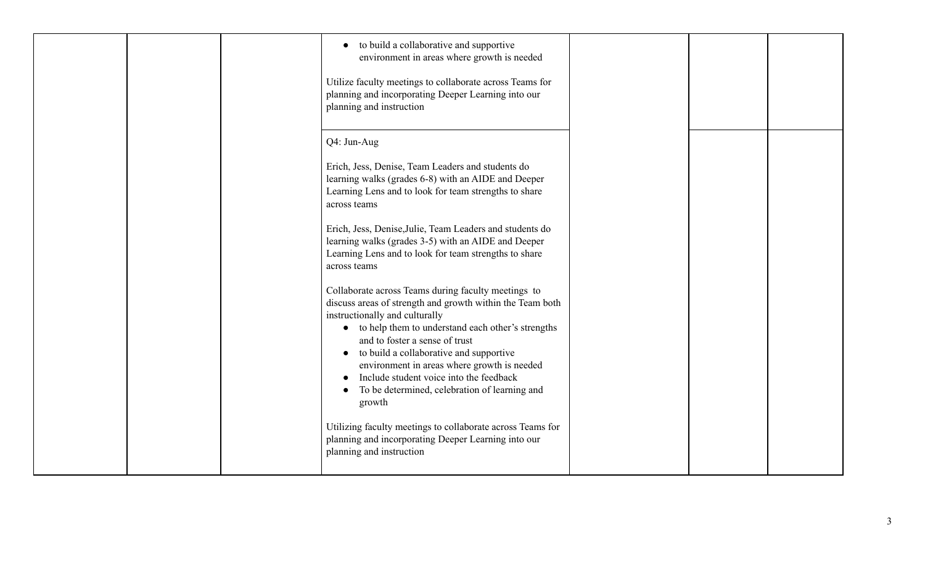|  | to build a collaborative and supportive<br>environment in areas where growth is needed<br>Utilize faculty meetings to collaborate across Teams for<br>planning and incorporating Deeper Learning into our<br>planning and instruction                                                                                                                                                                                                                                                                                                                                                                                                                                                                                                                                                                                                       |  |  |
|--|---------------------------------------------------------------------------------------------------------------------------------------------------------------------------------------------------------------------------------------------------------------------------------------------------------------------------------------------------------------------------------------------------------------------------------------------------------------------------------------------------------------------------------------------------------------------------------------------------------------------------------------------------------------------------------------------------------------------------------------------------------------------------------------------------------------------------------------------|--|--|
|  | Q4: Jun-Aug<br>Erich, Jess, Denise, Team Leaders and students do<br>learning walks (grades 6-8) with an AIDE and Deeper<br>Learning Lens and to look for team strengths to share<br>across teams<br>Erich, Jess, Denise, Julie, Team Leaders and students do<br>learning walks (grades 3-5) with an AIDE and Deeper<br>Learning Lens and to look for team strengths to share<br>across teams<br>Collaborate across Teams during faculty meetings to<br>discuss areas of strength and growth within the Team both<br>instructionally and culturally<br>• to help them to understand each other's strengths<br>and to foster a sense of trust<br>to build a collaborative and supportive<br>environment in areas where growth is needed<br>Include student voice into the feedback<br>To be determined, celebration of learning and<br>growth |  |  |
|  | Utilizing faculty meetings to collaborate across Teams for<br>planning and incorporating Deeper Learning into our<br>planning and instruction                                                                                                                                                                                                                                                                                                                                                                                                                                                                                                                                                                                                                                                                                               |  |  |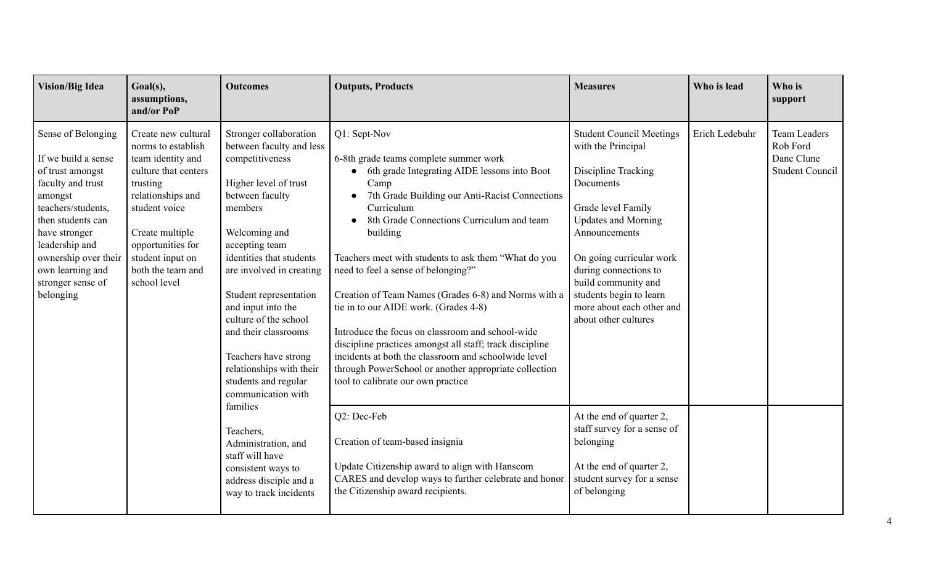| <b>Vision/Big Idea</b>                                                                                                                                                                                                                                    | Goal(s),<br>assumptions,<br>and/or PoP                                                                                                                                                                                                    | <b>Outcomes</b>                                                                                                                                                                                                                                                                                                                                                                                                            | <b>Outputs, Products</b>                                                                                                                                                                                                                                                                                                                                                                                                                                                                                                                                                                                                                                                                                       | <b>Measures</b>                                                                                                                                                                                                                                                                                                            | Who is lead    | Who is<br>support                                                       |
|-----------------------------------------------------------------------------------------------------------------------------------------------------------------------------------------------------------------------------------------------------------|-------------------------------------------------------------------------------------------------------------------------------------------------------------------------------------------------------------------------------------------|----------------------------------------------------------------------------------------------------------------------------------------------------------------------------------------------------------------------------------------------------------------------------------------------------------------------------------------------------------------------------------------------------------------------------|----------------------------------------------------------------------------------------------------------------------------------------------------------------------------------------------------------------------------------------------------------------------------------------------------------------------------------------------------------------------------------------------------------------------------------------------------------------------------------------------------------------------------------------------------------------------------------------------------------------------------------------------------------------------------------------------------------------|----------------------------------------------------------------------------------------------------------------------------------------------------------------------------------------------------------------------------------------------------------------------------------------------------------------------------|----------------|-------------------------------------------------------------------------|
| Sense of Belonging<br>If we build a sense<br>of trust amongst<br>faculty and trust<br>amongst<br>teachers/students,<br>then students can<br>have stronger<br>leadership and<br>ownership over their<br>own learning and<br>stronger sense of<br>belonging | Create new cultural<br>norms to establish<br>team identity and<br>culture that centers<br>trusting<br>relationships and<br>student voice<br>Create multiple<br>opportunities for<br>student input on<br>both the team and<br>school level | Stronger collaboration<br>between faculty and less<br>competitiveness<br>Higher level of trust<br>between faculty<br>members<br>Welcoming and<br>accepting team<br>identities that students<br>are involved in creating<br>Student representation<br>and input into the<br>culture of the school<br>and their classrooms<br>Teachers have strong<br>relationships with their<br>students and regular<br>communication with | Q1: Sept-Nov<br>6-8th grade teams complete summer work<br>6th grade Integrating AIDE lessons into Boot<br>Camp<br>7th Grade Building our Anti-Racist Connections<br>Curriculum<br>8th Grade Connections Curriculum and team<br>building<br>Teachers meet with students to ask them "What do you<br>need to feel a sense of belonging?"<br>Creation of Team Names (Grades 6-8) and Norms with a<br>tie in to our AIDE work. (Grades 4-8)<br>Introduce the focus on classroom and school-wide<br>discipline practices amongst all staff; track discipline<br>incidents at both the classroom and schoolwide level<br>through PowerSchool or another appropriate collection<br>tool to calibrate our own practice | <b>Student Council Meetings</b><br>with the Principal<br>Discipline Tracking<br>Documents<br>Grade level Family<br><b>Updates and Morning</b><br>Announcements<br>On going curricular work<br>during connections to<br>build community and<br>students begin to learn<br>more about each other and<br>about other cultures | Erich Ledebuhr | <b>Team Leaders</b><br>Rob Ford<br>Dane Clune<br><b>Student Council</b> |
|                                                                                                                                                                                                                                                           |                                                                                                                                                                                                                                           | families<br>Teachers,<br>Administration, and<br>staff will have<br>consistent ways to<br>address disciple and a<br>way to track incidents                                                                                                                                                                                                                                                                                  | Q2: Dec-Feb<br>Creation of team-based insignia<br>Update Citizenship award to align with Hanscom<br>CARES and develop ways to further celebrate and honor<br>the Citizenship award recipients.                                                                                                                                                                                                                                                                                                                                                                                                                                                                                                                 | At the end of quarter 2,<br>staff survey for a sense of<br>belonging<br>At the end of quarter 2,<br>student survey for a sense<br>of belonging                                                                                                                                                                             |                |                                                                         |